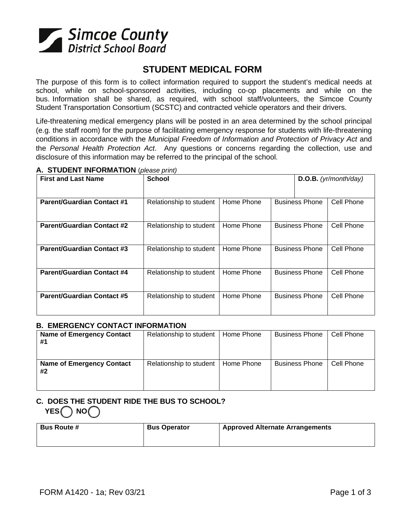

# **STUDENT MEDICAL FORM**

The purpose of this form is to collect information required to support the student's medical needs at school, while on school-sponsored activities, including co-op placements and while on the bus. Information shall be shared, as required, with school staff/volunteers, the Simcoe County Student Transportation Consortium (SCSTC) and contracted vehicle operators and their drivers.

Life-threatening medical emergency plans will be posted in an area determined by the school principal (e.g. the staff room) for the purpose of facilitating emergency response for students with life-threatening conditions in accordance with the *Municipal Freedom of Information and Protection of Privacy Act* and the *Personal Health Protection Act*. Any questions or concerns regarding the collection, use and disclosure of this information may be referred to the principal of the school.

| <b>First and Last Name</b>        | <b>School</b>           |            |                       | D.O.B. (yr/month/day) |            |
|-----------------------------------|-------------------------|------------|-----------------------|-----------------------|------------|
|                                   |                         |            |                       |                       |            |
| <b>Parent/Guardian Contact #1</b> | Relationship to student | Home Phone |                       | <b>Business Phone</b> | Cell Phone |
| <b>Parent/Guardian Contact #2</b> | Relationship to student | Home Phone |                       | <b>Business Phone</b> | Cell Phone |
| <b>Parent/Guardian Contact #3</b> | Relationship to student | Home Phone | <b>Business Phone</b> |                       | Cell Phone |
| <b>Parent/Guardian Contact #4</b> | Relationship to student | Home Phone | <b>Business Phone</b> |                       | Cell Phone |
| <b>Parent/Guardian Contact #5</b> | Relationship to student | Home Phone |                       | <b>Business Phone</b> | Cell Phone |

### **A. STUDENT INFORMATION** (*please print)*

### **B. EMERGENCY CONTACT INFORMATION**

| <b>Name of Emergency Contact</b><br>#1 | Relationship to student | Home Phone | <b>Business Phone</b> | Cell Phone |
|----------------------------------------|-------------------------|------------|-----------------------|------------|
| <b>Name of Emergency Contact</b><br>#2 | Relationship to student | Home Phone | <b>Business Phone</b> | Cell Phone |

# **C. DOES THE STUDENT RIDE THE BUS TO SCHOOL?** YES NO

| <b>Bus Route #</b> | <b>Bus Operator</b> | <b>Approved Alternate Arrangements</b> |
|--------------------|---------------------|----------------------------------------|
|                    |                     |                                        |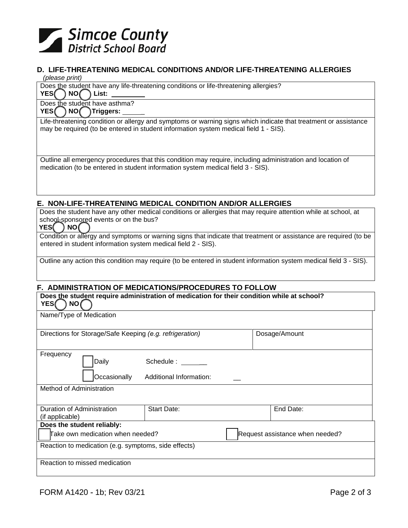

### **D. LIFE-THREATENING MEDICAL CONDITIONS AND/OR LIFE-THREATENING ALLERGIES**

#### *(please print)*

Does the student have any life-threatening conditions or life-threatening allergies?

YES **NO** List:

Does the student have asthma? YES **NO** Triggers:

Life-threatening condition or allergy and symptoms or warning signs which indicate that treatment or assistance may be required (to be entered in student information system medical field 1 - SIS).

Outline all emergency procedures that this condition may require, including administration and location of medication (to be entered in student information system medical field 3 - SIS).

### **E. NON-LIFE-THREATENING MEDICAL CONDITION AND/OR ALLERGIES**

Does the student have any other medical conditions or allergies that may require attention while at school, at school-sponsored events or on the bus?<br>YES NO

#### YES(

Condition or allergy and symptoms or warning signs that indicate that treatment or assistance are required (to be entered in student information system medical field 2 - SIS).

Outline any action this condition may require (to be entered in student information system medical field 3 - SIS).

# **F. ADMINISTRATION OF MEDICATIONS/PROCEDURES TO FOLLOW**

| Does the student require administration of medication for their condition while at school?<br>YES(<br>NO( |                         |  |                                 |  |
|-----------------------------------------------------------------------------------------------------------|-------------------------|--|---------------------------------|--|
| Name/Type of Medication                                                                                   |                         |  |                                 |  |
| Directions for Storage/Safe Keeping (e.g. refrigeration)                                                  |                         |  | Dosage/Amount                   |  |
| Frequency<br>Daily                                                                                        | Schedule: ______        |  |                                 |  |
| Occasionally<br>Method of Administration                                                                  | Additional Information: |  |                                 |  |
| Duration of Administration<br>(if applicable)                                                             | Start Date:             |  | End Date:                       |  |
| Does the student reliably:                                                                                |                         |  |                                 |  |
| Take own medication when needed?                                                                          |                         |  | Request assistance when needed? |  |
| Reaction to medication (e.g. symptoms, side effects)                                                      |                         |  |                                 |  |
| Reaction to missed medication                                                                             |                         |  |                                 |  |